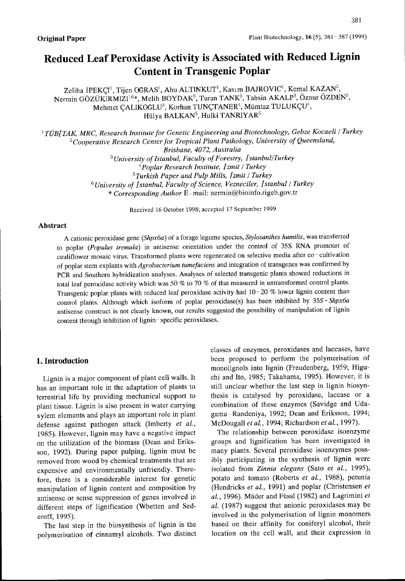# Reduced Leaf Peroxidase Activity is Associated with Reduced Lignin Content in Transgenic Poplar

Zeliha İPEKÇİ<sup>l</sup>, Tijen OGRAS', Ahu ALTINKUT', Kasım BAJROVIC', Kemal KAZAN<sup>2</sup> Nermin GÖZÜKIRMIZI<sup>1,6\*</sup>, Melih BOYDAK<sup>3</sup>, Turan TANK<sup>3</sup>, Tahsin AKALP<sup>3</sup>, Öznur ÖZDEN<sup>3</sup>, Mehmet ÇALIKOĞLU<sup>3</sup>, Korhan TUNÇTANER<sup>4</sup>, Mümtaz TULUKÇU<sup>4</sup>, Hülya BALKAN<sup>5</sup>, Hulki TANRIYAR<sup>5</sup>

<sup>1</sup> TÜBITAK, MRC, Research Institute for Genetic Engineering and Biotechnology, Gebze Kocaeli / Turkey <sup>2</sup>Cooperative Research Center for Tropical Plant Pathology, University of Queensland, Brisbane, 4072, Australia <sup>3</sup> University of Istanbul, Faculty of Forestry, 1 stanbul/Turkey  $^{4}$ Poplar Research Institute, Izmit / Turkey  $5$ Turkish Paper and Pulp Mills, [zmit / Turkey  $6$ University of Istanbul, Faculty of Science, Vezneciler, Istanbul / Turkey \* Corresponding Author E- mail: nermin@bioinfo.rigeb,gov.tr

Received 16 October 1998; acceptcd 17 September 1999

# Abstract

A cationic peroxidase gene (Shpx6a) of a forage legume species, Stylosanthes humilis, was transferred to poplar (Populus tremula) in antisense orientation under the control of 35S RNA promoter of  $\epsilon$  perfect (construct to  $\epsilon$ ). Transformed plants were regenerated on selective media after co-cultivation of poplar stem explants with *Agrobacterium tumefaciens* and integration of transgenes was confirmed by PCR and Southem hybridization analyses. Analyses of selected transgenic plants showed reductions in total leaf peroxidase activity which was 50  $\%$  to 70  $\%$  of that measured in untransformed control plants. Transgenic poplar plants with reduced leaf peroxidase activity had 10- <sup>20</sup> % Iower lignin content than control plants. Although which isoform of poplar peroxidase(s) has been inhibited by 35S-Shpx6a antisense construct is not clearly known, our results suggested the possibility of manipulation of lignin content through inhibition of lignin - specific peroxidases.

# 1. Introduction

Lignin is a major component of plant cell walls. It has an important role in the adaptation of plants to terrestrial life by providing mechanical support to plant tissue. Lignin is also present in water carrying xylem elements and plays an important role in plant defense against pathogen attack (Imberty *et al.*, 1985). However, Iignin may have a negative impact on the utilization of the biomass (Dean and Eriksson, 1992). During paper pulping, Iignin must be removed from wood bv chemical treatments that are expensive and environmentally unfriendly. Therefore, there is a considerable interest for genetic manipulation of lignin content and composition by antisense or sense suppression of genes involved in different steps of lignification (Whetten and Sederoff, 1995).

The last step in the biosynthesis of lignin is the polymerisation of cinnamyl alcohols. Two distinct classes of enzymes, peroxidases and laccases, have been proposed to perform the polymerisation of monolignols into lignin (Freudenberg, 1959; Higuchi and Ito, 1985; Takahama, 1995). However, it is still unclear whether the last step in lignin biosynthesis is catalysed by peroxidase, Iaccase or a combination of these enzymes (Savidge and Udagama- Randeniya, 1992; Dean and Eriksson, 1994; s<br>McDougall *et al.*, 1994; Richardson *et al.*, 1997).

The relationship between peroxidase isoenzyme groups and lignification has been investigated in many plants. Several peroxidase isoenzymes possibly participating in the synthesis of lignin were isolated from Zinnia elegans (Sato et al., 1995), potato and tomato (Roberts et al., 1988), petunia (Hendricks et al., 1991) and poplar (Christensen et  $al.$ , 1996). Mäder and Füssl (1982) and Lagrimini  $et$ al. (1987) suggest that anionic peroxidases may be involved in the polymerisation of lignin monomers based on their affinity for coniferyl alcohol, their location on the cell wall, and their expression in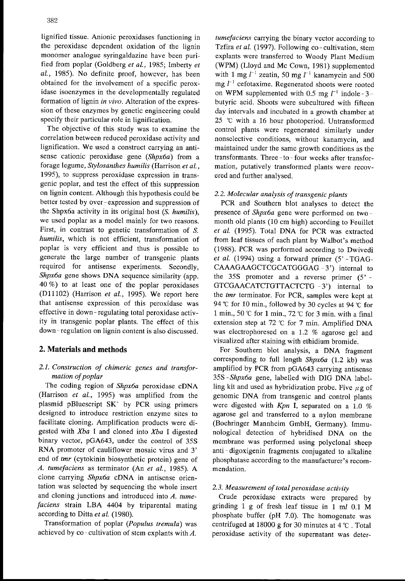lignified tissue. Anionic peroxidases functioning in the peroxidase dependent oxidation of the lignin monomer analogue syringaldazine have been purified from poplar (Goldberg et al., 1985; Imberty et al., 1985). No definite proof, however, has been obtained for the involvement of a specific peroxidase isoenzymes in the developmentally regulated formation of lignin in vivo. Alteration of the expression of these enzymes by genetic engineering could specify their particular role in lignification.

The objective of this study was to examine the correlation between reduced peroxidase activity and lignification. We used <sup>a</sup> construct carrying an antisense cationic peroxidase gene (Shpx6a) from a forage legume, Stylosanthes humilis (Harrison et al., 1995), to suppress peroxidase expression in transgenic poplar, and test the effect of this suppression on lignin content. Although this hypothesis could be better tested by over-expression and suppression of the Shpx6a activity in its original host  $(S, \textit{humilis})$ , we used poplar as a model mainly for two reasons. First, in contrast to genetic transformation of S. humilis, which is not efficient, transformation of poplar is very efficient and thus is possible to generate the large number of transgenic plants required for antisense experiments. Secondly, Shpx6a gene shows DNA sequence similarity (app. 40 %) to at least one of the poplar peroxidases (D11102) (Harrison et al., 1995). We report here that antisense expression of this peroxidase was effective in down- regulating total peroxidase activity in transgenic poplar plants. The effect of this down- regulation on lignin content is also discussed.

### 2. Materials and methods

# 2. 1. Construction of chimeric genes and transformation of poplar

The coding region of Shpx6a peroxidase cDNA (Harrison et al., 1995) was amplified from the plasmid pBluescript SK' by PCR using primers designed to introduce restriction enzyme sites to facilitate cloning. Amplification products were digested with  $Xba$  I and cloned into  $Xba$  I digested binary vector, pGA643, under the control of 35S RNA promoter of cauliflower mosaic virus and 3' end of tmr (cytokinin biosynthetic protein) gene of A. tumefaciens as terminator (An et al., 1985). A clone carrying Shpx6a CDNA in antisense orientation was selected by sequencing the whole insert and cloning junctions and introduced into A. tumefaciens strain LBA 4404 by triparental mating according to Ditta et al. (1980).

Transformation of poplar (Populus tremula) was achieved by co-cultivation of stem explants with A.

tumefaciens carrying the binary vector according to Tzfira et al. (1997). Following co-cultivation, stem explants were transferred to Woody Plant Medium (WPM) (Lloyd and Mc Cown, 1981) supplemented with 1 mg  $l^{-1}$  zeatin, 50 mg  $l^{-1}$  kanamycin and 500 mg  $l^{-1}$  cefotaxime. Regenerated shoots were rooted on WPM supplemented with 0.5 mg  $l^{-1}$  indole-3butyric acid. Shoots were subcultured with fifteen day intervals and incubated in a growth chamber at  $25$  °C with a 16 hour photoperiod. Untransformed control plants were regenerated similarly under nonselective conditions, without kanamycin, and maintained under the same growth conditions as the transformants. Three -to - four weeks after transformation, putatively transformed plants were recovered and further analysed.

#### 2. 2. Molecular analysis of transgenic plants

PCR and Southern blot analyses to detect the presence of Shpx6a gene were performed on two month old plants (10 cm high) according to Feuillet et al. (1995). Total DNA for PCR was extracted from leaf tissues of each plant by Walbot's method (1988). PCR was performed according to Dwivedi et al. (1994) using a forward primer  $(5' - TGAG -$ CAAAGAAGCTCGCATGGGAG - 3') internal to the  $35S$  promoter and a reverse primer  $(5' -$ GTCGAACATCTGTTACTCTG - 3') internal to the tmr terminator. For PCR, samples were kept at 94  $\degree$ C for 10 min., followed by 30 cycles at 94  $\degree$ C for 1 min., 50 °C for 1 min., 72 °C for 3 min. with a final extension step at <sup>72</sup> 'C for 7 min. Amplified DNA was electrophoresed on a 1.2 % agarose gel and visualized after staining with ethidium bromide.

For Southern blot analysis, <sup>a</sup> DNA fragment corresponding to full length Shpx6a (1.2 kb) was amplified by PCR from pGA643 carrying antisense 35S -Shpx6a gene, Iabelled with DIG DNA Iabelling kit and used as hybridization probe. Five  $\mu$ g of genomic DNA from transgenic and control plants were digested with  $Kpn$  I, separated on a 1.0 % agarose gel and transferred to a nylon membrane (Boehringer Mannheim GmbH. Germany). Immunological detection of hybridised DNA on the membrane was performed using polyclonal sheep anti-digoxigenin fragments conjugated to alkaline phosphatase according to the manufacturer's recommendation.

#### 2.3. Measurement of total peroxidase activity

Crude peroxidase extracts were prepared by grinding 1 g of fresh leaf tissue in 1 ml 0.1 M phosphate buffer (pH 7.0). The homogenate was centrifuged at 18000 g for 30 minutes at  $4^\circ$ . Total peroxidase activity of the supernatant was deter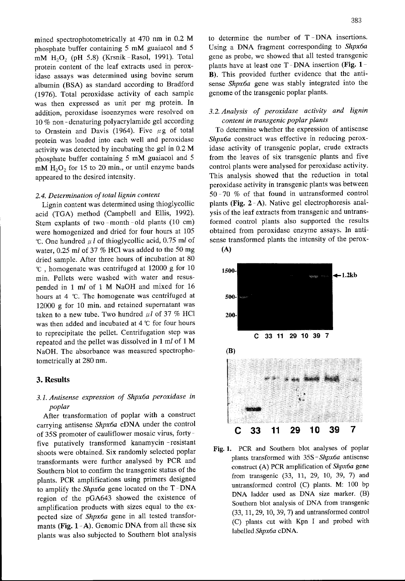mined spectrophotometrically at <sup>470</sup> nm in 0.2 M phosphate buffer containing 5 mM guaiacol and 5 mM H202 (pH 5.8) (Krsnik -Rasol, 1991). Total protein content of the leaf extracts used in peroxidase assays was determined using bovine serum albumin (BSA) as standard according to Bradford (1976). Total peroxidase activity of each sample was then expressed as unit per mg protein. In addition, peroxidase isoenzymes were resolved on <sup>10</sup> % non - denaturing polyacrylamide gel according to Ornstein and Davis (1964). Five  $\mu$ g of total protein was loaded into each well and peroxidase activity was detected by incubating the gel in 0.2 M phosphate buffer containing 5 mM guaiacol and 5  $mM H<sub>2</sub>O<sub>2</sub>$  for 15 to 20 min., or until enzyme bands appeared to the desired intensity.

#### 2.4. Determination of total lignin content

Lignin content was determined using thioglycollic acid (TGA) method (Campbell and Ellis, 1992). Stem explants of two -month -old plants (10 cm) were homogenized and dried for four hours at <sup>105</sup>  $^{\circ}$ C. One hundred  $\mu$ *l* of thioglycollic acid, 0.75 m*l* of water, 0.25 ml of 37 % HCl was added to the 50 mg dried sample. After three hours of incubation at 80  $\degree$  , homogenate was centrifuged at 12000 g for 10 min. Pellets were washed with water and resuspended in I ml of I M NaOH and mixed for <sup>16</sup> hours at 4 °C. The homogenate was centrifuged at 12000 g for 10 min. and retained supernatant was taken to a new tube. Two hundred  $\mu l$  of 37 % HCl was then added and incubated at  $4 °C$  for four hours to reprecipitate the pellet. Centrifugation step was repeated and the pellet was dissolved in 1 ml of 1 M NaOH. The absorbance was measured spectrophotometrically at 280 nm.

### 3. Results

# 3. 1. Antisense expression of Shpx6a peroxidase in poplar

After transformation of poplar with a construct carrying antisense Shpx6a cDNA under the control of 35S promoter of cauliflower mosaic virus, fortyfive putatively transformed kanamycin -resistant shoots were obtained. Six randomly selected poplar transformants were further analysed by PCR and Southern blot to confirm the transgenic status of the plants. PCR amplifications using primers designed to amplify the Shpx6a gene located on the T-DNA region of the pGA643 showed the existence of amplification products with sizes equal to the expected size of Shpx6a gene in all tested transformants (Fig.  $1-A$ ). Genomic DNA from all these six plants was also subjected to Southern blot analysis to determine the number of  $T$ -DNA insertions. Using a DNA fragment corresponding to Shpx6a gene as probe, we showed that all tested transgenic plants have at least one  $T$ -DNA insertion (Fig. 1– B). This provided further evidence that the antisense Shpx6a gene was stably integrated into the genome of the transgenic poplar plants.

# 3.2. Analysis of peroxidase activity and lignin content in transgenic poplar plants

To determine whether the expression of antisense Shpx6a construct was effective in reducing peroxidase activity of transgenic poplar, crude extracts from the leaves of six transgenic plants and five control plants were analysed for peroxidase activity. This analysis showed that the reduction in total peroxidase activity in transgenic plants was between 50 - <sup>70</sup> % of that found in untransformed control plants (Fig. 2-A). Native gel electrophoresis analysis of the leaf extracts from transgenic and untransformed control plants also supported the results obtained from peroxidase enzyme assays. In antisense transformed plants the intensity of the perox- (A)





Fig. 1. PCR and Southern blot analyses of poplar plants transformed with 35S-Shpx6a antisense construct (A) PCR amplification of Shpx6a gene from transgenic (33, 11, 29, 10, 39, 7) and untransformed control (C) plants. M: 100 bp DNA Iadder used as DNA size marker. (B) Southern blot analysis of DNA from transgenic (33, 11, 29, 10, 39, 7) and untransformed control (C) plants cut with Kpn I and probed with labelled Shpx6a CDNA.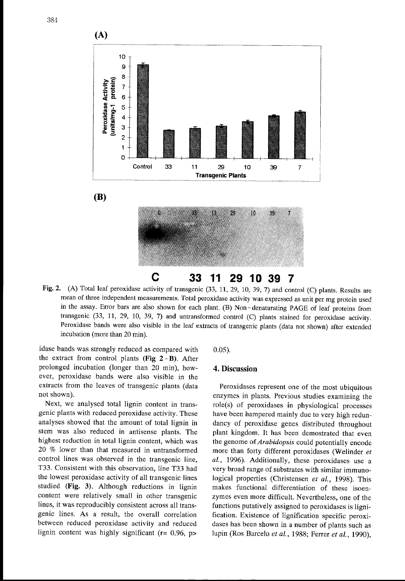

Fig, 2. (A) Total leaf peroxidase activity of transgenic (33, 11, 29, 10, 39, 7) and control (C) plants. Results are mean of three independent measurements. Total peroxidase activity was expressed as unit per mg protein used in the assay. Error bars are also shown for each plant. (B) Non - denaturating PAGE of leaf proteins from transgenic (33, 11, 29, 10, 39, 7) and untransformed control (C) plants stained for peroxidase activity. Peroxidase bands were also visible in the leaf extracts of transgenic plants (data not shown) after extended incubation (more than 20 min).

idase bands was strongly reduced as compared with 0.05). the extract from control plants (Fig  $2 - B$ ). After prolonged incubation (longer than 20 min), how- 4. Discussion ever, peroxidase bands were also visible in the extracts from the leaves of transgenic plants (data not shown).

Next, we analysed total lignin content in transgenic plants with reduced peroxidase activity. These analyses showed that the amount of total lignin in stem was also reduced in antisense plants. The highest reduction in total lignin content, which was <sup>20</sup> % Iower than that measured in untransformed control lines was observed in the transgenic line, T33. Consistent with this observation, Iine T33 had the lowest peroxidase activity of all transgenic lines studied (Fig. 3). Although reductions in lignin content were relatively small in other transgenic lines, it was reproducibly consistent across all transgenic lines. As a result, the overall correlation between reduced peroxidase activity and reduced lignin content was highly significant ( $r = 0.96$ ,  $p >$ 

Peroxidases represent one of the most ubiquitous enzymes in plants. Previous studies examining the role(s) of peroxidases in physiological processes have been hampered mainly due to very high redundancy of peroxidase genes distributed throughout plant kingdom. It has been demostrated that even the genome of Arabidopsis could potentially encode more than forty different peroxidases (Welinder et al., 1996). Additionally, these peroxidases use a very broad range of substrates with similar immunological properties (Christensen et al., 1998). This makes functional differentiation of these isoenzymes even more difficult. Nevertheless, one of the functions putatively assigned to peroxidases is lignification. Existence of lignification specific peroxidases has been shown in a number of plants such as lupin (Ros Barcelo *et al.*, 1988; Ferrer *et al.*, 1990),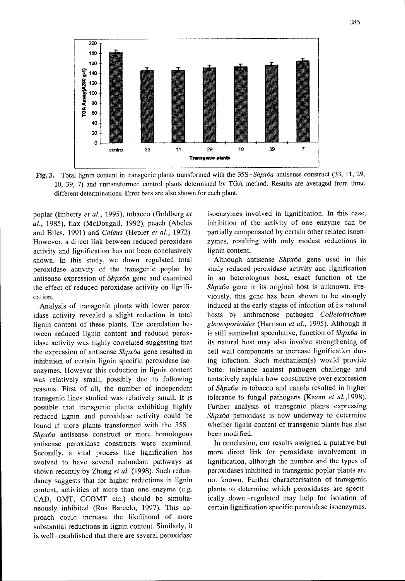

Fig. 3. Total lignin content in transgenic plants transformed with the 35S-Shpx6a antisense construct (33, 11, 29, 10, 39, 7) and untransformed control plants determined by TGA method. Results are averaged from three different determinations. Error bars are also shown for each plant.

poplar (Imberty et al., 1995), tobacco (Goldberg et al., 1985), flax (McDougall, 1992), peach (Abeles and Biles, 1991) and Coleus (Hepler et al., 1972). However, a direct link between reduced peroxidase activity and lignification has not been conclusively shown. In this study, we down -regulated total peroxidase activity of the transgenic poplar by antisense expression of Shpx6a gene and examined the effect of reduced peroxidase activity on lignification.

Analysis of transgenic plants with lower peroxidase activity revealed a slight reduction in total lignin content of these plants. The correlation between reduced lignin content and reduced peroxidase activity was highly correlated suggesting that the expression of antisense Shpx6a gene resulted in inhibition of certain lignin specific peroxidase isoenzymes. However this reduction in lignin content was relatively small, possibly due to following reasons. First of all, the number of independent transgenic lines studied was relatively small. It is possible that transgenic plants exhibiting highly reduced lignin and peroxidase activity could be found if more plants transformed with the 35S-Shpx6a antisense construct or more homologous antisense peroxidase constructs were examined. Secondly, a vital process like lignification has evolved to have several redundant pathways as shown recently by Zhong et al. (1998). Such redundancy suggests that for higher reductions in lignin content, activities of more than one enzyme (e.g. CAD, OMT, CCOMT etc.) should be simultaneously inhibited (ROS Barcelo, 1997). This approach could increase the likelihood of more substantial reductions in lignin content. Similarly, it is well- established that there are several peroxidase isoenzymes involved in lignification. In this case, inhibition of the activity of one enzyme can be partially compensated by certain other related isoenzymes, resulting with only modest reductions in lignin content.

Although antisense  $\mathit{Shpx6a}$  gene used in this study reduced peroxidase activity and lignification in an heterologous host, exact function of the Shpx6a gene in its original host is unknown. Previously, this gene has been shown to be strongly induced at the early stages of infection of its natural hosts by anthracnose pathogen Colletotrichum gleoesporioides (Harrison et al., 1995). Although it is still somewhat speculative, function of Shpx6a in its natural host may also involve strengthening of cell wall components or increase lignification during infection. Such mechanism(s) would provide better tolerance against pathogen challenge and tentatively explain how constitutive over expression of Shpx6a in tobacco and canola resulted in higher tolerance to fungal pathogens (Kazan et al., 1998). Further analysis of transgenic plants expressing Shpx6a peroxidase is now underway to determine whether lignin content of transgenic plants has also been modified.

In conclusion, our results assigned a putative but more direct link for peroxidase involvement in lignification, although the number and the types of peroxidases inhibited in transgenic poplar plants are not known. Further characterisation of transgenic plants to determine which peroxidases are specifically down -regulated may help for isolation of certain lignification specific peroxidase isoenzymes.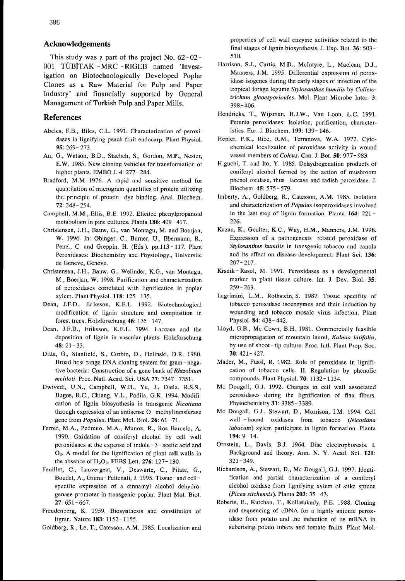This study was a part of the project No. 62-02- OOI TUBITAK -MRC -RIGEB named 'Investigation on Biotechnologically Developed Poplar Clones as a Raw Material for Pulp and Paper Industry' and financially supported by General Management of Turkish Pulp and Paper MillS.

## References

- Abeles, F.B., Biles, C.L. 1991. Characterization of peroxidases in lignifying peach fruit endocarp. Plant Physiol. 95: 269- 273.
- An, G., Watson, B D., Stacheh, S., Gordon, M.P., Nester, E.W. 1985, New cloning vehicles for transformation of higher plants. EMBO J. 4: 277- 284.
- Bradford, M.M 1976. A rapid and sensitive method for quantitation of microgram quantities of protein utilizing the principle of protein-dye binding. Anal. Biochem. 72: 248- 254.
- Campbell, M.M., Ellis, B.E. 1992 Elicitcd phenylpropanoid metabolism in pine cultures. Planta 186: 409- 417.
- Christensen, J.H., Bauw, G., van Montagu. M, and Boerjan, W. 1996. In: Obinger, C\_, Burner, U.. Ebermann, R., Penel, C. and Greppin, H. (Eds.). pp.113-117. Plant Peroxidases: Biochemistry and Physiology., Universite de Geneve, Geneve.
- Christensen, J.H., Bauw, G., Welinder. K.G., van Montagu, M., Boerjan, W. 1998. Purification and characterization of peroxidases correlated with lignification in poplar xylem. Plant Physiol. 118: 125-135.
- Dean, J.F.D., Eriksson, K.E.L. 1992. Biotechnological modification of lignin structure and composition in forest trees. Holzforschung 46: 135- 147.
- Dean, J.F.D., Eriksson, K.E.L. 1994. Laccase and the deposition of lignin in vascular plants. Holzforschung  $48: 21 - 33.$
- Ditta, G., Stanfield, S., Corbin, D., Helinski, D.R. 1980. Broad host range DNA cloning system for gram-negative bacteria: Construction of a gene bank of Rhizobium meliloti. Proc. Natl. Acad. Sci. USA 77: 7347-7351.
- Dwivedi, U.N., Campbell, W.H., Yu, J., Datla, R.S.S., Bugos, R.C., Chiang, V.L., Podila, G.K. 1994. Modification of lignin biosynthesis in transgenic Nicotiana through expression of an antisense O - methyltransferase gene from  $Populus$ . Plant Mol. Biol. 26: 61 - 71.
- Ferrer, M.A., Pedreno, M.A., Munoz, R., Ros Barcelo, A. 1990. Oxidation of coniferyl alcohol by cell wall peroxidases at the expense of indole - 3- acetic acid and  $O_2$ . A model for the lignification of plant cell walls in the absence of  $H<sub>2</sub>O<sub>2</sub>$ . FEBS Lett. 276: 127-130.
- Feuillet, C., Lauvergeat, V., Deswarte, C., Pilate, G., Boudet, A., Grima-Pettenati, J. 1995. Tissue-and cellspecific expression of a cinnamyl alcohol dehydrogenase promoter in transgenic poplar. Plant Mol. Biol. 27: 651- 667.
- Freudenberg, K. 1959. Biosynthesis and constitution of lignin. Nature 183: 1152- 1155.
- Goldberg, R , Le, T., Catesson, A M. 1985. Localization and

properties of cell wall enzyme activities related to the final stages of lignin biosynthesis. J. Exp. Bot. 36: 503- 510.

- Harrison, S.J., Curtis, M.D., McIntyre, L., Maclean, D.J., Manners, J.M. 1995. Differential expression of peroxidase isogenes during the early stages of infection of the tropical forage legume Stylosanthes humilis by Colletotrichum gleoesporioides. Mol. Plant Microbe Inter. 3: 398 - 406.
- Hendricks, T., Wijsman, H.J.W., Van Loon, L.C. 1991. Petunia peroxidases: Isolation, purification, characteristics. Eur. J. Biochem. 199: 139- 146.
- Hepler, P.K., Rice, R M , Terranova, W.A 1972. Cytochemical localization of peroxidase activity in wound vessel mernbers of Coleus. Can. J. Bot. 50: 977- 983.
- Higuchi, T. and Ito, Y. 1985. Dehydrogenation products of coniferyl alcohol formed by the action of mushroom phenol oxidase, rhus-laccase and radish peroxidase. J Biochem. 45: 575-579.
- Imberty, A., Goldberg, R., Catesson, A.M. 1985. Isolation and characterization of Populus isoperoxidases involved in the last step of lignin formation. Planta  $164: 221 -$ 226.
- Kazan, K., Goulter, K.C., Way, H.M., Manners, J.M. 1998. Expression of a pathogenesis - related peroxidase of Stylosanthes humilis in transgenic tobacco and canola and its effect on disease development. Plant Sci. 136:  $207 - 217$
- Krsnik-Rasol, M. 1991. Peroxidases as a developmental marker in plant tissue culture. Int. J. Dev. Biol. 35: 259 - 263
- Lagrimini, L.M., Rothstein, S. 1987. Tissue specifity of tobacco peroxidase isoenzymes and their induction by wounding and tobacco mosaic virus infection. Plant Physiol. 84: 438- 442.
- Lloyd, G.B., Mc Cown, B.H. 1981. Commercially feasible micropropagation of mountain laurel, Kalmia latifolia, by use of shoot-tip culture. Proc. Intl. Plant Prop. Soc. 30: 421 - 427.
- Mäder, M., Füssl, R. 1982. Role of peroxidase in lignification of tobacco cells. II. Regulation by phenolic compounds. Plant Physiol. 70: 1132- 1134.
- Mc Dougall, G.J. 1992. Changes in cell wall associated peroxidases during the lignification of flax fibers. Phytochemistry 31: 3385-3389.
- Mc Dougall, G J. Stewart, D., Morrison, I.M. 1994 Cell wall - bound oxidases from tobacco (Nicotiana tabacum) xylem participate in lignin formation. Planta 194: 9- 14
- Ornstein, L., Davis, B.J. 1964. Disc electrophoresis. I. Background and theory. Ann. N. Y. Acad. Sci. 121: 321 - 349.
- Richardson, A., Stewart, D., Mc Dougall, G J. 1997. Identification and partial characterization of a coniferyl alcohol oxidase from lignifying xylem of sitka spruce (Picea sitchensis). Planta 203: 35-43.
- Roberts, E., Kutchan, T., Kollatukudy, P.E. 1988. Cloning and sequencing of cDNA for a highly anionic peroxidase from potato and the induction of its mRNA in suberising potato tubers and tomato fruits. Plant Mol.